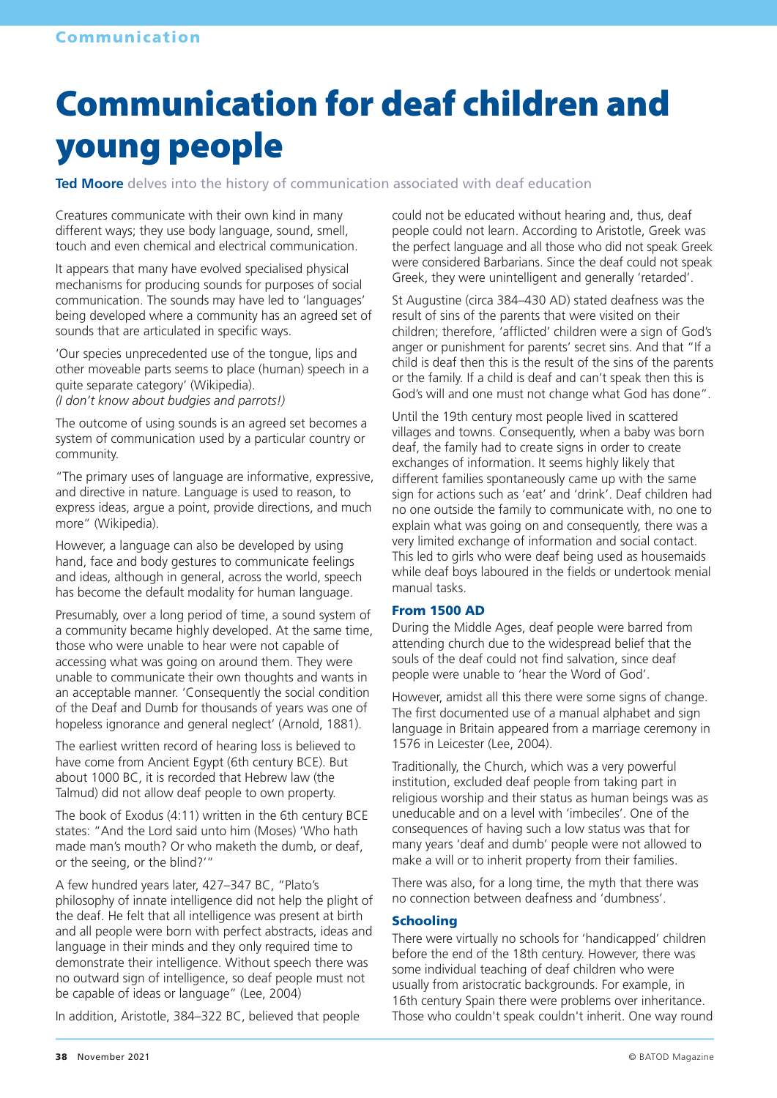# Communication for deaf children and young people

**Ted Moore** delves into the history of communication associated with deaf education

Creatures communicate with their own kind in many different ways; they use body language, sound, smell, touch and even chemical and electrical communication.

It appears that many have evolved specialised physical mechanisms for producing sounds for purposes of social communication. The sounds may have led to 'languages' being developed where a community has an agreed set of sounds that are articulated in specific ways.

'Our species unprecedented use of the tongue, lips and other moveable parts seems to place (human) speech in a quite separate category' (Wikipedia). *(I don't know about budgies and parrots!)*

The outcome of using sounds is an agreed set becomes a system of communication used by a particular country or community.

"The primary uses of language are informative, expressive, and directive in nature. Language is used to reason, to express ideas, argue a point, provide directions, and much more" (Wikipedia).

However, a language can also be developed by using hand, face and body gestures to communicate feelings and ideas, although in general, across the world, speech has become the default modality for human language.

Presumably, over a long period of time, a sound system of a community became highly developed. At the same time, those who were unable to hear were not capable of accessing what was going on around them. They were unable to communicate their own thoughts and wants in an acceptable manner. 'Consequently the social condition of the Deaf and Dumb for thousands of years was one of hopeless ignorance and general neglect' (Arnold, 1881).

The earliest written record of hearing loss is believed to have come from Ancient Egypt (6th century BCE). But about 1000 BC, it is recorded that Hebrew law (the Talmud) did not allow deaf people to own property.

The book of Exodus (4:11) written in the 6th century BCE states: "And the Lord said unto him (Moses) 'Who hath made man's mouth? Or who maketh the dumb, or deaf, or the seeing, or the blind?'"

A few hundred years later, 427–347 BC, "Plato's philosophy of innate intelligence did not help the plight of the deaf. He felt that all intelligence was present at birth and all people were born with perfect abstracts, ideas and language in their minds and they only required time to demonstrate their intelligence. Without speech there was no outward sign of intelligence, so deaf people must not be capable of ideas or language" (Lee, 2004)

In addition, Aristotle, 384–322 BC, believed that people

could not be educated without hearing and, thus, deaf people could not learn. According to Aristotle, Greek was the perfect language and all those who did not speak Greek were considered Barbarians. Since the deaf could not speak Greek, they were unintelligent and generally 'retarded'.

St Augustine (circa 384–430 AD) stated deafness was the result of sins of the parents that were visited on their children; therefore, 'afflicted' children were a sign of God's anger or punishment for parents' secret sins. And that "If a child is deaf then this is the result of the sins of the parents or the family. If a child is deaf and can't speak then this is God's will and one must not change what God has done".

Until the 19th century most people lived in scattered villages and towns. Consequently, when a baby was born deaf, the family had to create signs in order to create exchanges of information. It seems highly likely that different families spontaneously came up with the same sign for actions such as 'eat' and 'drink'. Deaf children had no one outside the family to communicate with, no one to explain what was going on and consequently, there was a very limited exchange of information and social contact. This led to girls who were deaf being used as housemaids while deaf boys laboured in the fields or undertook menial manual tasks.

#### From 1500 AD

During the Middle Ages, deaf people were barred from attending church due to the widespread belief that the souls of the deaf could not find salvation, since deaf people were unable to 'hear the Word of God'.

However, amidst all this there were some signs of change. The first documented use of a manual alphabet and sign language in Britain appeared from a marriage ceremony in 1576 in Leicester (Lee, 2004).

Traditionally, the Church, which was a very powerful institution, excluded deaf people from taking part in religious worship and their status as human beings was as uneducable and on a level with 'imbeciles'. One of the consequences of having such a low status was that for many years 'deaf and dumb' people were not allowed to make a will or to inherit property from their families.

There was also, for a long time, the myth that there was no connection between deafness and 'dumbness'.

#### **Schooling**

There were virtually no schools for 'handicapped' children before the end of the 18th century. However, there was some individual teaching of deaf children who were usually from aristocratic backgrounds. For example, in 16th century Spain there were problems over inheritance. Those who couldn't speak couldn't inherit. One way round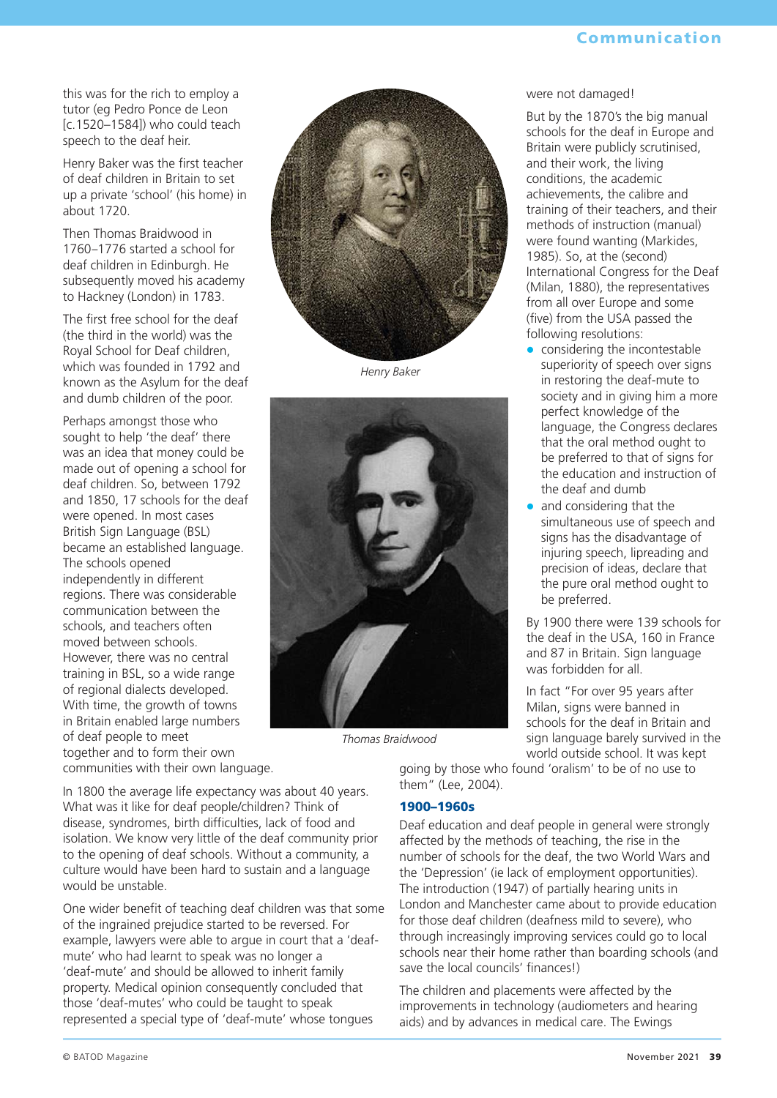this was for the rich to employ a tutor (eg Pedro Ponce de Leon [c.1520–1584]) who could teach speech to the deaf heir.

Henry Baker was the first teacher of deaf children in Britain to set up a private 'school' (his home) in about 1720.

Then Thomas Braidwood in 1760–1776 started a school for deaf children in Edinburgh. He subsequently moved his academy to Hackney (London) in 1783.

The first free school for the deaf (the third in the world) was the Royal School for Deaf children, which was founded in 1792 and known as the Asylum for the deaf and dumb children of the poor.

Perhaps amongst those who sought to help 'the deaf' there was an idea that money could be made out of opening a school for deaf children. So, between 1792 and 1850, 17 schools for the deaf were opened. In most cases British Sign Language (BSL) became an established language. The schools opened independently in different regions. There was considerable communication between the schools, and teachers often moved between schools. However, there was no central training in BSL, so a wide range of regional dialects developed. With time, the growth of towns in Britain enabled large numbers of deaf people to meet together and to form their own communities with their own language.

*Henry Baker*



*Thomas Braidwood*

In 1800 the average life expectancy was about 40 years. What was it like for deaf people/children? Think of disease, syndromes, birth difficulties, lack of food and isolation. We know very little of the deaf community prior to the opening of deaf schools. Without a community, a culture would have been hard to sustain and a language would be unstable.

One wider benefit of teaching deaf children was that some of the ingrained prejudice started to be reversed. For example, lawyers were able to argue in court that a 'deafmute' who had learnt to speak was no longer a 'deaf-mute' and should be allowed to inherit family property. Medical opinion consequently concluded that those 'deaf-mutes' who could be taught to speak represented a special type of 'deaf-mute' whose tongues

#### were not damaged!

But by the 1870's the big manual schools for the deaf in Europe and Britain were publicly scrutinised, and their work, the living conditions, the academic achievements, the calibre and training of their teachers, and their methods of instruction (manual) were found wanting (Markides, 1985). So, at the (second) International Congress for the Deaf (Milan, 1880), the representatives from all over Europe and some (five) from the USA passed the following resolutions:

- considering the incontestable superiority of speech over signs in restoring the deaf-mute to society and in giving him a more perfect knowledge of the language, the Congress declares that the oral method ought to be preferred to that of signs for the education and instruction of the deaf and dumb
- and considering that the simultaneous use of speech and signs has the disadvantage of injuring speech, lipreading and precision of ideas, declare that the pure oral method ought to be preferred.

By 1900 there were 139 schools for the deaf in the USA, 160 in France and 87 in Britain. Sign language was forbidden for all.

In fact "For over 95 years after Milan, signs were banned in schools for the deaf in Britain and sign language barely survived in the world outside school. It was kept

going by those who found 'oralism' to be of no use to them" (Lee, 2004).

#### 1900–1960s

Deaf education and deaf people in general were strongly affected by the methods of teaching, the rise in the number of schools for the deaf, the two World Wars and the 'Depression' (ie lack of employment opportunities). The introduction (1947) of partially hearing units in London and Manchester came about to provide education for those deaf children (deafness mild to severe), who through increasingly improving services could go to local schools near their home rather than boarding schools (and save the local councils' finances!)

The children and placements were affected by the improvements in technology (audiometers and hearing aids) and by advances in medical care. The Ewings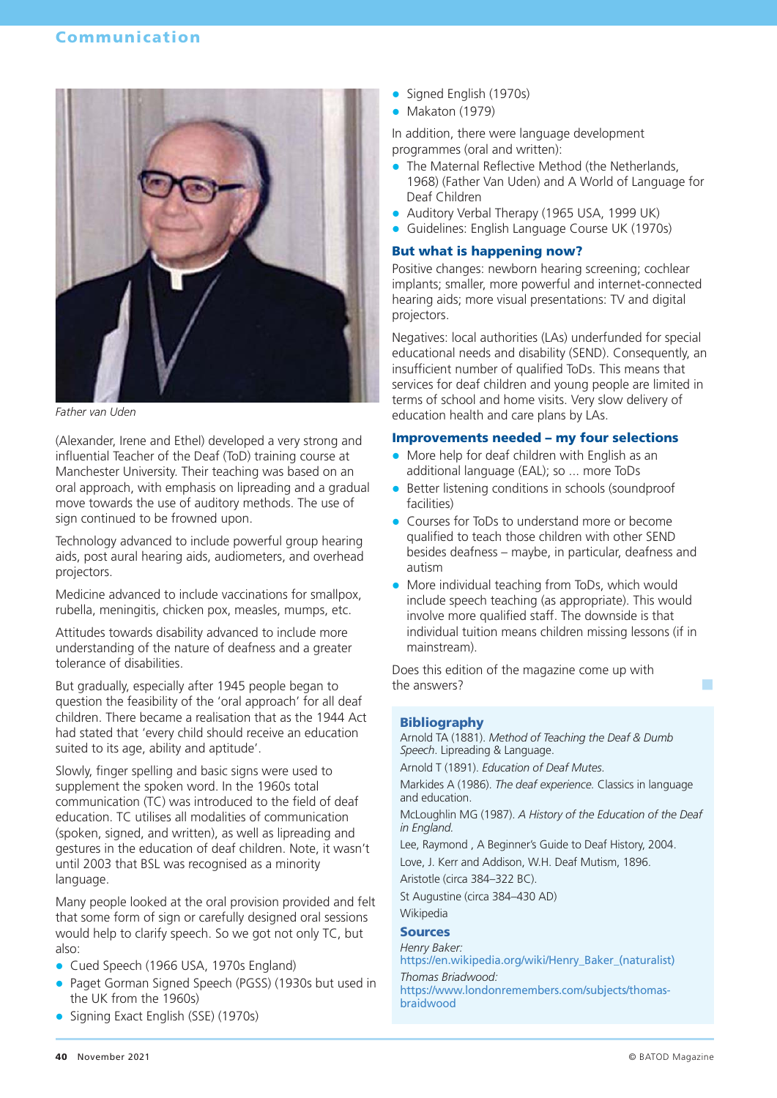

*Father van Uden*

(Alexander, Irene and Ethel) developed a very strong and influential Teacher of the Deaf (ToD) training course at Manchester University. Their teaching was based on an oral approach, with emphasis on lipreading and a gradual move towards the use of auditory methods. The use of sign continued to be frowned upon.

Technology advanced to include powerful group hearing aids, post aural hearing aids, audiometers, and overhead projectors.

Medicine advanced to include vaccinations for smallpox, rubella, meningitis, chicken pox, measles, mumps, etc.

Attitudes towards disability advanced to include more understanding of the nature of deafness and a greater tolerance of disabilities.

But gradually, especially after 1945 people began to question the feasibility of the 'oral approach' for all deaf children. There became a realisation that as the 1944 Act had stated that 'every child should receive an education suited to its age, ability and aptitude'.

Slowly, finger spelling and basic signs were used to supplement the spoken word. In the 1960s total communication (TC) was introduced to the field of deaf education. TC utilises all modalities of communication (spoken, signed, and written), as well as lipreading and gestures in the education of deaf children. Note, it wasn't until 2003 that BSL was recognised as a minority language.

Many people looked at the oral provision provided and felt that some form of sign or carefully designed oral sessions would help to clarify speech. So we got not only TC, but also:

- Cued Speech (1966 USA, 1970s England)
- Paget Gorman Signed Speech (PGSS) (1930s but used in the UK from the 1960s)
- Signing Exact English (SSE) (1970s)
- Signed English (1970s)
- Makaton (1979)

In addition, there were language development programmes (oral and written):

- The Maternal Reflective Method (the Netherlands, 1968) (Father Van Uden) and A World of Language for Deaf Children
- Auditory Verbal Therapy (1965 USA, 1999 UK)
- **•** Guidelines: English Language Course UK (1970s)

#### But what is happening now?

Positive changes: newborn hearing screening; cochlear implants; smaller, more powerful and internet-connected hearing aids; more visual presentations: TV and digital projectors.

Negatives: local authorities (LAs) underfunded for special educational needs and disability (SEND). Consequently, an insufficient number of qualified ToDs. This means that services for deaf children and young people are limited in terms of school and home visits. Very slow delivery of education health and care plans by LAs.

#### Improvements needed – my four selections

- More help for deaf children with English as an additional language (EAL); so ... more ToDs
- Better listening conditions in schools (soundproof facilities)
- Courses for ToDs to understand more or become qualified to teach those children with other SEND besides deafness – maybe, in particular, deafness and autism
- $\bullet$  More individual teaching from ToDs, which would include speech teaching (as appropriate). This would involve more qualified staff. The downside is that individual tuition means children missing lessons (if in mainstream).

Does this edition of the magazine come up with the answers?

#### Bibliography

Arnold TA (1881). *Method of Teaching the Deaf & Dumb Speech*. Lipreading & Language.

Arnold T (1891). *Education of Deaf Mutes*.

Markides A (1986). *The deaf experience.* Classics in language and education.

McLoughlin MG (1987). *A History of the Education of the Deaf in England.*

Lee, Raymond , A Beginner's Guide to Deaf History, 2004. Love, J. Kerr and Addison, W.H. Deaf Mutism, 1896.

Aristotle (circa 384–322 BC).

St Augustine (circa 384–430 AD) Wikipedia

#### Sources

*Henry Baker:*

https://en.wikipedia.org/wiki/Henry\_Baker\_(naturalist) *Thomas Briadwood:*

https://www.londonremembers.com/subjects/thomasbraidwood